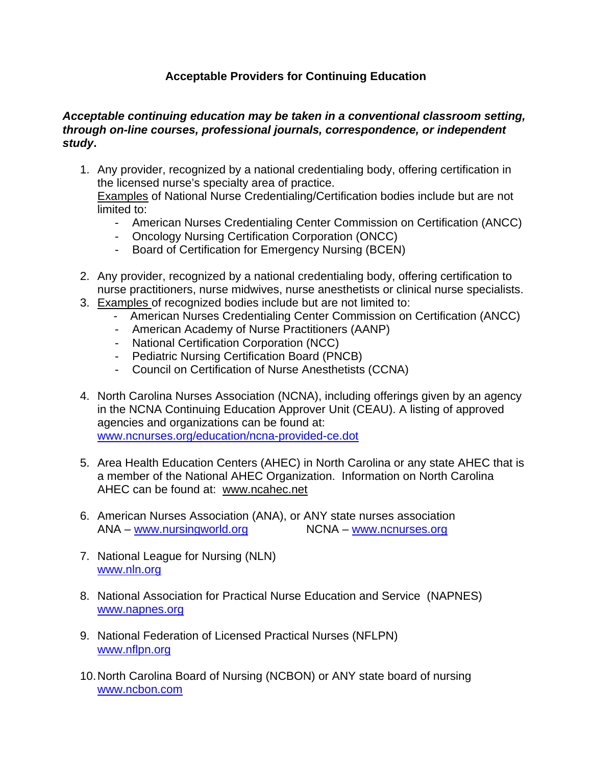## **Acceptable Providers for Continuing Education**

## *Acceptable continuing education may be taken in a conventional classroom setting, through on-line courses, professional journals, correspondence, or independent study***.**

1. Any provider, recognized by a national credentialing body, offering certification in the licensed nurse's specialty area of practice.

Examples of National Nurse Credentialing/Certification bodies include but are not limited to:

- American Nurses Credentialing Center Commission on Certification (ANCC)
- Oncology Nursing Certification Corporation (ONCC)
- Board of Certification for Emergency Nursing (BCEN)
- 2. Any provider, recognized by a national credentialing body, offering certification to nurse practitioners, nurse midwives, nurse anesthetists or clinical nurse specialists.
- 3. Examples of recognized bodies include but are not limited to:
	- American Nurses Credentialing Center Commission on Certification (ANCC)
	- American Academy of Nurse Practitioners (AANP)
	- National Certification Corporation (NCC)
	- Pediatric Nursing Certification Board (PNCB)
	- Council on Certification of Nurse Anesthetists (CCNA)
- 4. North Carolina Nurses Association (NCNA), including offerings given by an agency in the NCNA Continuing Education Approver Unit (CEAU). A listing of approved agencies and organizations can be found at: [www.ncnurses.org/education/ncna-provided-ce.dot](http://www.ncnurses.org/education/ncna-provided-ce.dot)
- 5. Area Health Education Centers (AHEC) in North Carolina or any state AHEC that is a member of the National AHEC Organization. Information on North Carolina AHEC can be found at: [www.ncahec.net](http://www.ncahec.net/)
- 6. American Nurses Association (ANA), or ANY state nurses association ANA – [www.nursingworld.org](http://www.nursingworld.org/) NCNA – www.ncnurses.org
- 7. National League for Nursing (NLN) [www.nln.org](http://www.nln.org/)
- 8. National Association for Practical Nurse Education and Service (NAPNES) [www.napnes.org](http://www.napnes.org/)
- 9. National Federation of Licensed Practical Nurses (NFLPN) [www.nflpn.org](http://www.nflpn.org/)
- 10. North Carolina Board of Nursing (NCBON) or ANY state board of nursing [www.ncbon.com](http://www.ncbon.com/)